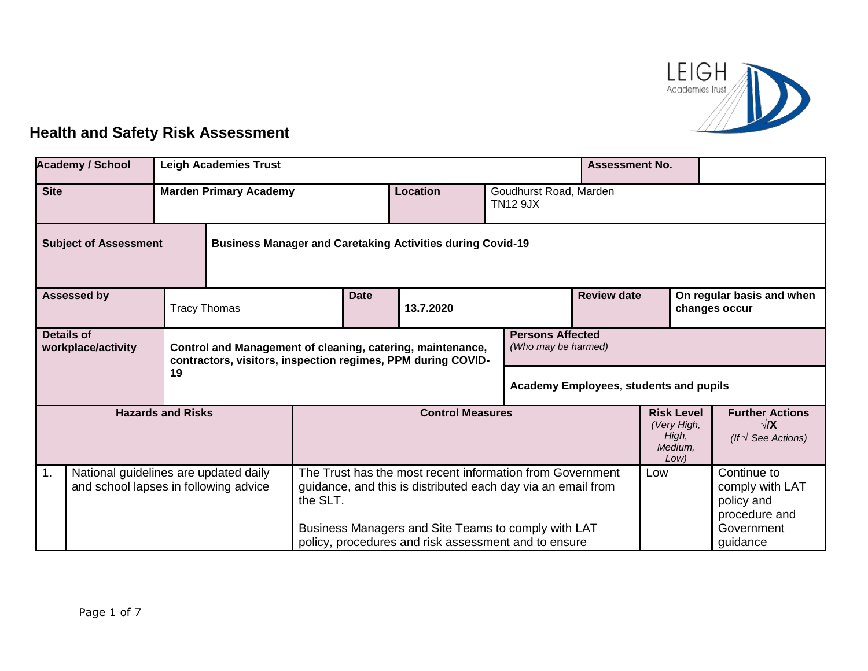

## **Health and Safety Risk Assessment**

| <b>Academy / School</b><br><b>Leigh Academies Trust</b>                              |  |                                                                                                                                                                              |                                                                                                                                       |           |                                                                                                             |                                           |                                                              | <b>Assessment No.</b>                                         |                                                                      |  |                        |
|--------------------------------------------------------------------------------------|--|------------------------------------------------------------------------------------------------------------------------------------------------------------------------------|---------------------------------------------------------------------------------------------------------------------------------------|-----------|-------------------------------------------------------------------------------------------------------------|-------------------------------------------|--------------------------------------------------------------|---------------------------------------------------------------|----------------------------------------------------------------------|--|------------------------|
| <b>Site</b><br><b>Marden Primary Academy</b>                                         |  |                                                                                                                                                                              |                                                                                                                                       | Location  |                                                                                                             | Goudhurst Road, Marden<br><b>TN12 9JX</b> |                                                              |                                                               |                                                                      |  |                        |
| <b>Subject of Assessment</b>                                                         |  | <b>Business Manager and Caretaking Activities during Covid-19</b>                                                                                                            |                                                                                                                                       |           |                                                                                                             |                                           |                                                              |                                                               |                                                                      |  |                        |
| <b>Assessed by</b><br><b>Tracy Thomas</b>                                            |  |                                                                                                                                                                              | <b>Date</b>                                                                                                                           | 13.7.2020 |                                                                                                             | <b>Review date</b>                        |                                                              |                                                               | On regular basis and when<br>changes occur                           |  |                        |
| <b>Details of</b><br>workplace/activity                                              |  | <b>Persons Affected</b><br>Control and Management of cleaning, catering, maintenance,<br>(Who may be harmed)<br>contractors, visitors, inspection regimes, PPM during COVID- |                                                                                                                                       |           |                                                                                                             |                                           |                                                              |                                                               |                                                                      |  |                        |
| 19                                                                                   |  |                                                                                                                                                                              |                                                                                                                                       |           |                                                                                                             |                                           | <b>Academy Employees, students and pupils</b>                |                                                               |                                                                      |  |                        |
| <b>Hazards and Risks</b>                                                             |  |                                                                                                                                                                              | <b>Control Measures</b>                                                                                                               |           |                                                                                                             |                                           | <b>Risk Level</b><br>(Very High,<br>High,<br>Medium.<br>Low) |                                                               | <b>Further Actions</b><br>$\sqrt{X}$<br>(If $\sqrt{\ }$ See Actions) |  |                        |
| 1.<br>National guidelines are updated daily<br>and school lapses in following advice |  |                                                                                                                                                                              | The Trust has the most recent information from Government<br>guidance, and this is distributed each day via an email from<br>the SLT. |           |                                                                                                             | Low                                       |                                                              | Continue to<br>comply with LAT<br>policy and<br>procedure and |                                                                      |  |                        |
|                                                                                      |  |                                                                                                                                                                              |                                                                                                                                       |           | Business Managers and Site Teams to comply with LAT<br>policy, procedures and risk assessment and to ensure |                                           |                                                              |                                                               |                                                                      |  | Government<br>guidance |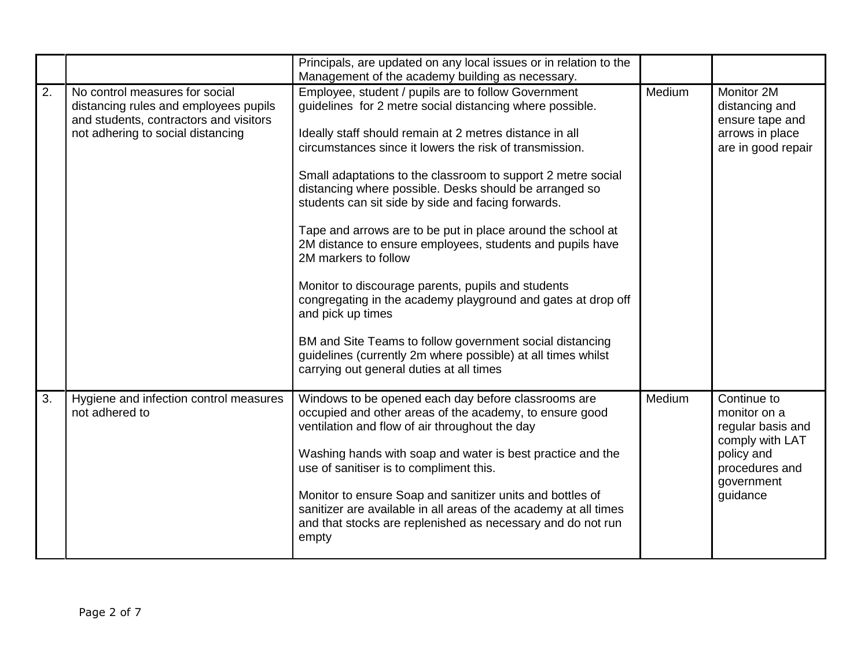|    |                                                                                                                                                        | Principals, are updated on any local issues or in relation to the<br>Management of the academy building as necessary.                                                                                                                                                                                                                                                                                                                                                                                                                                                                                                                                                                                                                                                                                                                                                                        |        |                                                                                                                               |
|----|--------------------------------------------------------------------------------------------------------------------------------------------------------|----------------------------------------------------------------------------------------------------------------------------------------------------------------------------------------------------------------------------------------------------------------------------------------------------------------------------------------------------------------------------------------------------------------------------------------------------------------------------------------------------------------------------------------------------------------------------------------------------------------------------------------------------------------------------------------------------------------------------------------------------------------------------------------------------------------------------------------------------------------------------------------------|--------|-------------------------------------------------------------------------------------------------------------------------------|
| 2. | No control measures for social<br>distancing rules and employees pupils<br>and students, contractors and visitors<br>not adhering to social distancing | Employee, student / pupils are to follow Government<br>guidelines for 2 metre social distancing where possible.<br>Ideally staff should remain at 2 metres distance in all<br>circumstances since it lowers the risk of transmission.<br>Small adaptations to the classroom to support 2 metre social<br>distancing where possible. Desks should be arranged so<br>students can sit side by side and facing forwards.<br>Tape and arrows are to be put in place around the school at<br>2M distance to ensure employees, students and pupils have<br>2M markers to follow<br>Monitor to discourage parents, pupils and students<br>congregating in the academy playground and gates at drop off<br>and pick up times<br>BM and Site Teams to follow government social distancing<br>guidelines (currently 2m where possible) at all times whilst<br>carrying out general duties at all times | Medium | Monitor 2M<br>distancing and<br>ensure tape and<br>arrows in place<br>are in good repair                                      |
| 3. | Hygiene and infection control measures<br>not adhered to                                                                                               | Windows to be opened each day before classrooms are<br>occupied and other areas of the academy, to ensure good<br>ventilation and flow of air throughout the day<br>Washing hands with soap and water is best practice and the<br>use of sanitiser is to compliment this.<br>Monitor to ensure Soap and sanitizer units and bottles of<br>sanitizer are available in all areas of the academy at all times<br>and that stocks are replenished as necessary and do not run<br>empty                                                                                                                                                                                                                                                                                                                                                                                                           | Medium | Continue to<br>monitor on a<br>regular basis and<br>comply with LAT<br>policy and<br>procedures and<br>government<br>guidance |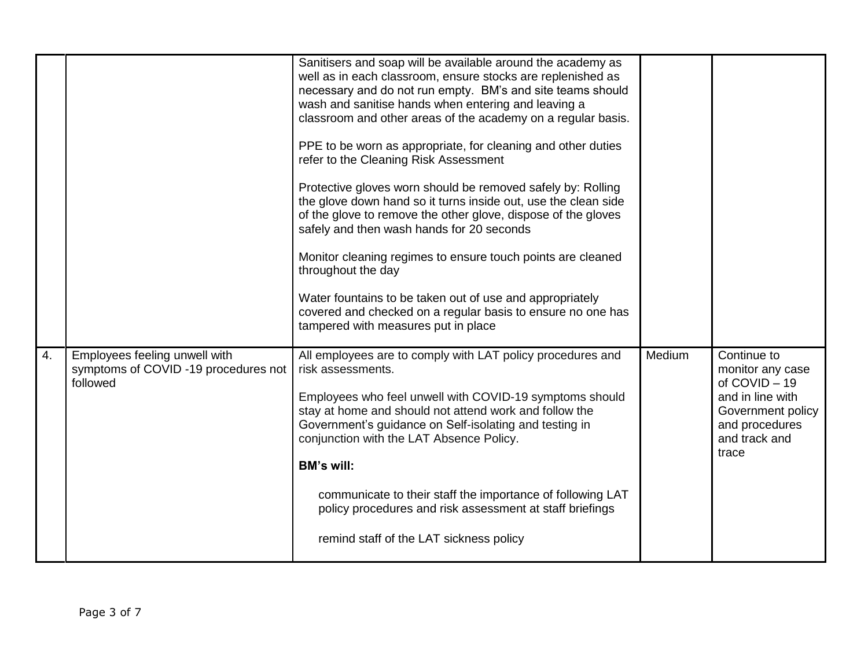|    |                                                                                   | Sanitisers and soap will be available around the academy as<br>well as in each classroom, ensure stocks are replenished as<br>necessary and do not run empty. BM's and site teams should<br>wash and sanitise hands when entering and leaving a<br>classroom and other areas of the academy on a regular basis.<br>PPE to be worn as appropriate, for cleaning and other duties<br>refer to the Cleaning Risk Assessment<br>Protective gloves worn should be removed safely by: Rolling<br>the glove down hand so it turns inside out, use the clean side<br>of the glove to remove the other glove, dispose of the gloves<br>safely and then wash hands for 20 seconds<br>Monitor cleaning regimes to ensure touch points are cleaned<br>throughout the day<br>Water fountains to be taken out of use and appropriately<br>covered and checked on a regular basis to ensure no one has<br>tampered with measures put in place |        |                                                                                                                                     |
|----|-----------------------------------------------------------------------------------|--------------------------------------------------------------------------------------------------------------------------------------------------------------------------------------------------------------------------------------------------------------------------------------------------------------------------------------------------------------------------------------------------------------------------------------------------------------------------------------------------------------------------------------------------------------------------------------------------------------------------------------------------------------------------------------------------------------------------------------------------------------------------------------------------------------------------------------------------------------------------------------------------------------------------------|--------|-------------------------------------------------------------------------------------------------------------------------------------|
| 4. | Employees feeling unwell with<br>symptoms of COVID -19 procedures not<br>followed | All employees are to comply with LAT policy procedures and<br>risk assessments.<br>Employees who feel unwell with COVID-19 symptoms should<br>stay at home and should not attend work and follow the<br>Government's guidance on Self-isolating and testing in<br>conjunction with the LAT Absence Policy.<br><b>BM's will:</b><br>communicate to their staff the importance of following LAT<br>policy procedures and risk assessment at staff briefings<br>remind staff of the LAT sickness policy                                                                                                                                                                                                                                                                                                                                                                                                                           | Medium | Continue to<br>monitor any case<br>of COVID-19<br>and in line with<br>Government policy<br>and procedures<br>and track and<br>trace |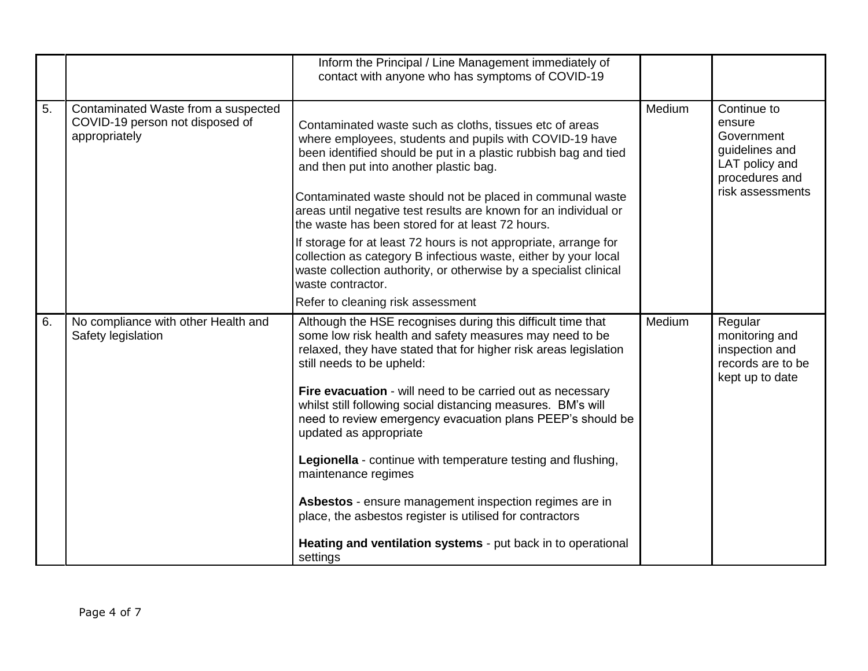|    |                                                                                         | Inform the Principal / Line Management immediately of<br>contact with anyone who has symptoms of COVID-19                                                                                                                                                                                                                                                                                                            |        |                                                                                                               |
|----|-----------------------------------------------------------------------------------------|----------------------------------------------------------------------------------------------------------------------------------------------------------------------------------------------------------------------------------------------------------------------------------------------------------------------------------------------------------------------------------------------------------------------|--------|---------------------------------------------------------------------------------------------------------------|
| 5. | Contaminated Waste from a suspected<br>COVID-19 person not disposed of<br>appropriately | Contaminated waste such as cloths, tissues etc of areas<br>where employees, students and pupils with COVID-19 have<br>been identified should be put in a plastic rubbish bag and tied<br>and then put into another plastic bag.<br>Contaminated waste should not be placed in communal waste<br>areas until negative test results are known for an individual or<br>the waste has been stored for at least 72 hours. | Medium | Continue to<br>ensure<br>Government<br>guidelines and<br>LAT policy and<br>procedures and<br>risk assessments |
|    |                                                                                         | If storage for at least 72 hours is not appropriate, arrange for<br>collection as category B infectious waste, either by your local<br>waste collection authority, or otherwise by a specialist clinical<br>waste contractor.                                                                                                                                                                                        |        |                                                                                                               |
|    |                                                                                         | Refer to cleaning risk assessment                                                                                                                                                                                                                                                                                                                                                                                    |        |                                                                                                               |
| 6. | No compliance with other Health and<br>Safety legislation                               | Although the HSE recognises during this difficult time that<br>some low risk health and safety measures may need to be<br>relaxed, they have stated that for higher risk areas legislation<br>still needs to be upheld:                                                                                                                                                                                              | Medium | Regular<br>monitoring and<br>inspection and<br>records are to be<br>kept up to date                           |
|    |                                                                                         | Fire evacuation - will need to be carried out as necessary<br>whilst still following social distancing measures. BM's will<br>need to review emergency evacuation plans PEEP's should be<br>updated as appropriate                                                                                                                                                                                                   |        |                                                                                                               |
|    |                                                                                         | Legionella - continue with temperature testing and flushing,<br>maintenance regimes                                                                                                                                                                                                                                                                                                                                  |        |                                                                                                               |
|    |                                                                                         | Asbestos - ensure management inspection regimes are in<br>place, the asbestos register is utilised for contractors                                                                                                                                                                                                                                                                                                   |        |                                                                                                               |
|    |                                                                                         | Heating and ventilation systems - put back in to operational<br>settings                                                                                                                                                                                                                                                                                                                                             |        |                                                                                                               |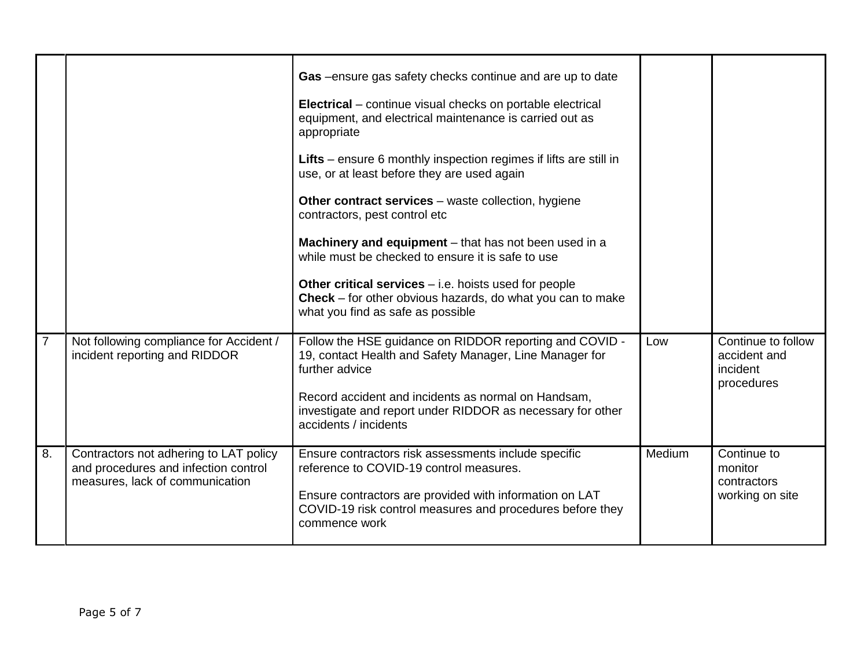|                |                                                                                                                   | Gas -ensure gas safety checks continue and are up to date<br><b>Electrical</b> – continue visual checks on portable electrical<br>equipment, and electrical maintenance is carried out as<br>appropriate<br>Lifts – ensure 6 monthly inspection regimes if lifts are still in<br>use, or at least before they are used again<br>Other contract services – waste collection, hygiene<br>contractors, pest control etc<br>Machinery and equipment - that has not been used in a<br>while must be checked to ensure it is safe to use<br>Other critical services $-$ i.e. hoists used for people<br>Check - for other obvious hazards, do what you can to make<br>what you find as safe as possible |        | Continue to follow                                       |
|----------------|-------------------------------------------------------------------------------------------------------------------|--------------------------------------------------------------------------------------------------------------------------------------------------------------------------------------------------------------------------------------------------------------------------------------------------------------------------------------------------------------------------------------------------------------------------------------------------------------------------------------------------------------------------------------------------------------------------------------------------------------------------------------------------------------------------------------------------|--------|----------------------------------------------------------|
| $\overline{7}$ | Not following compliance for Accident /<br>incident reporting and RIDDOR                                          | Follow the HSE guidance on RIDDOR reporting and COVID -<br>19, contact Health and Safety Manager, Line Manager for<br>further advice<br>Record accident and incidents as normal on Handsam,<br>investigate and report under RIDDOR as necessary for other<br>accidents / incidents                                                                                                                                                                                                                                                                                                                                                                                                               | Low    | accident and<br>incident<br>procedures                   |
| 8.             | Contractors not adhering to LAT policy<br>and procedures and infection control<br>measures, lack of communication | Ensure contractors risk assessments include specific<br>reference to COVID-19 control measures.<br>Ensure contractors are provided with information on LAT<br>COVID-19 risk control measures and procedures before they<br>commence work                                                                                                                                                                                                                                                                                                                                                                                                                                                         | Medium | Continue to<br>monitor<br>contractors<br>working on site |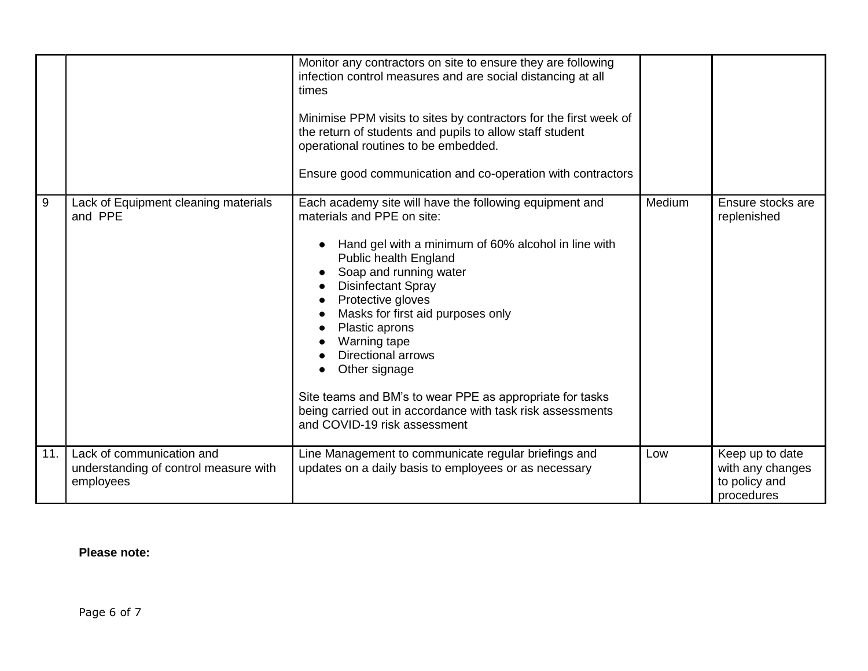|     |                                                                                 | Monitor any contractors on site to ensure they are following<br>infection control measures and are social distancing at all<br>times<br>Minimise PPM visits to sites by contractors for the first week of<br>the return of students and pupils to allow staff student<br>operational routines to be embedded.<br>Ensure good communication and co-operation with contractors                                                                                                                                                     |        |                                                                    |
|-----|---------------------------------------------------------------------------------|----------------------------------------------------------------------------------------------------------------------------------------------------------------------------------------------------------------------------------------------------------------------------------------------------------------------------------------------------------------------------------------------------------------------------------------------------------------------------------------------------------------------------------|--------|--------------------------------------------------------------------|
| 9   | Lack of Equipment cleaning materials<br>and PPE                                 | Each academy site will have the following equipment and<br>materials and PPE on site:<br>Hand gel with a minimum of 60% alcohol in line with<br>Public health England<br>Soap and running water<br><b>Disinfectant Spray</b><br>Protective gloves<br>Masks for first aid purposes only<br>Plastic aprons<br>Warning tape<br><b>Directional arrows</b><br>Other signage<br>Site teams and BM's to wear PPE as appropriate for tasks<br>being carried out in accordance with task risk assessments<br>and COVID-19 risk assessment | Medium | Ensure stocks are<br>replenished                                   |
| 11. | Lack of communication and<br>understanding of control measure with<br>employees | Line Management to communicate regular briefings and<br>updates on a daily basis to employees or as necessary                                                                                                                                                                                                                                                                                                                                                                                                                    | Low    | Keep up to date<br>with any changes<br>to policy and<br>procedures |

## **Please note:**